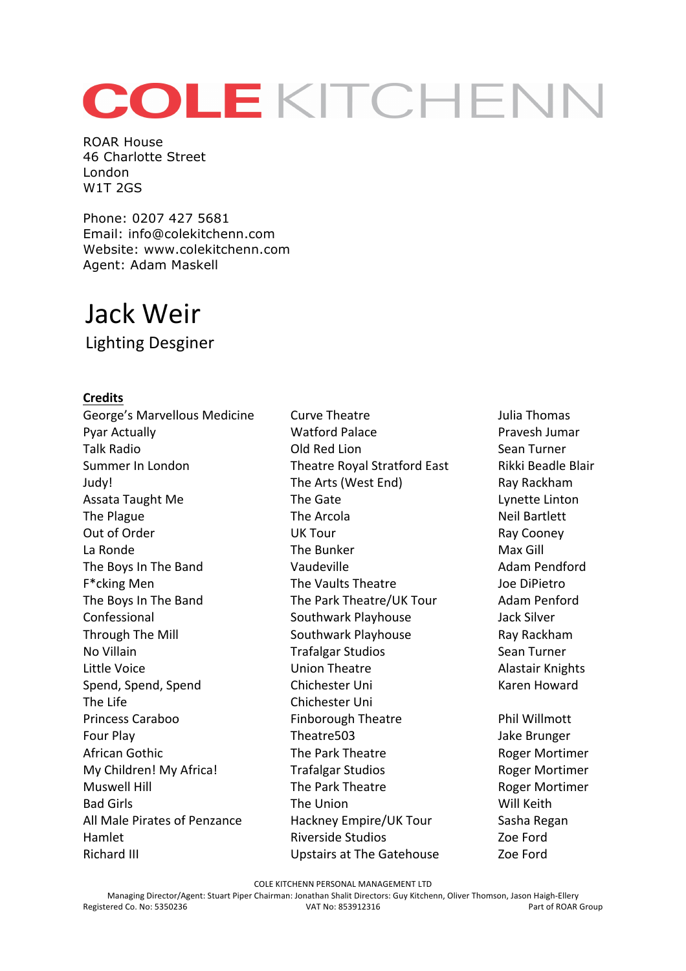## COLEKITCHENN

ROAR House 46 Charlotte Street London W1T 2GS

Phone: 0207 427 5681 Email: info@colekitchenn.com Website: www.colekitchenn.com Agent: Adam Maskell

## Jack Weir

Lighting Desginer

## **Credits**

George's Marvellous Medicine Curve Theatre **Curve Theatre** Julia Thomas Pyar Actually **Nationally Watford Palace Pravesh Jumar** Pravesh Jumar Talk Radio **No. 2018** Cold Red Lion Sean Turner Summer In London Theatre Royal Stratford East Rikki Beadle Blair Judy! The Arts (West End) Ray Rackham Assata Taught Me The Gate The Gate Lynette Linton The Plague The Arcola The Arcola Neil Bartlett Out of Order **Cooney COOL COOL COOL COOL COOL COOL COOL COOL COOL COOL COOL COOL COOL COOL COOL COOL COOL COOL COOL COOL COOL COOL COOL COOL COOL COOL COOL COOL COO** La Ronde **The Bunker Max** Gill The Boys In The Band **Communist Contract Contract Vaudeville** Adam Pendford F<sup>\*</sup>cking Men The Vaults Theatre The Vaults Theatre Joe DiPietro The Boys In The Band The Park Theatre/UK Tour Adam Penford Confessional Southwark Playhouse Jack Silver Through The Mill **Southwark Playhouse** Ray Rackham No Villain **No Sean Turner** Trafalgar Studios **Sean Turner** Little Voice **No. 2018** Union Theatre **Alastair Knights** Spend, Spend, Spend Chichester Uni Chichester Uni Karen Howard The Life **Chichester Uni** Princess Caraboo **Finborough Theatre** Phil Willmott Four Play Theatre503 Jake Brunger African Gothic The Park Theatre The Park Theatre Roger Mortimer My Children! My Africa! Trafalgar Studios Roger Mortimer Muswell Hill **The Park Theatre The Park Theatre** Roger Mortimer Bad Girls **The Union** Charlotte Will Keith All Male Pirates of Penzance Hackney Empire/UK Tour Sasha Regan Hamlet **All Equipment Contract Contract Riverside Studios Contract Contract Contract Contract Contract Contract Contract Contract Contract Contract Contract Contract Contract Contract Contract Contract Contract Contract** Richard III and the Controller Controller's Upstairs at The Gatehouse and Zoe Ford

COLE KITCHENN PERSONAL MANAGEMENT LTD